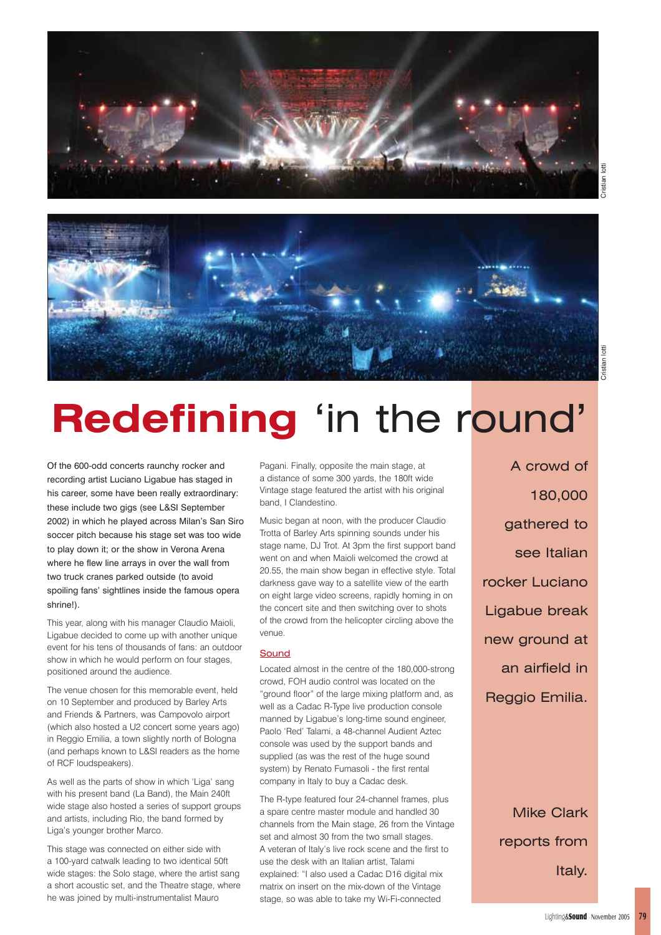



# **Redefining** 'in the round'

Of the 600-odd concerts raunchy rocker and recording artist Luciano Ligabue has staged in his career, some have been really extraordinary: these include two gigs (see L&SI September 2002) in which he played across Milan's San Siro soccer pitch because his stage set was too wide to play down it; or the show in Verona Arena where he flew line arrays in over the wall from two truck cranes parked outside (to avoid spoiling fans' sightlines inside the famous opera shrine!).

This year, along with his manager Claudio Maioli, Ligabue decided to come up with another unique event for his tens of thousands of fans: an outdoor show in which he would perform on four stages, positioned around the audience.

The venue chosen for this memorable event, held on 10 September and produced by Barley Arts and Friends & Partners, was Campovolo airport (which also hosted a U2 concert some years ago) in Reggio Emilia, a town slightly north of Bologna (and perhaps known to L&SI readers as the home of RCF loudspeakers).

As well as the parts of show in which 'Liga' sang with his present band (La Band), the Main 240ft wide stage also hosted a series of support groups and artists, including Rio, the band formed by Liga's younger brother Marco.

This stage was connected on either side with a 100-yard catwalk leading to two identical 50ft wide stages: the Solo stage, where the artist sang a short acoustic set, and the Theatre stage, where he was joined by multi-instrumentalist Mauro

Pagani. Finally, opposite the main stage, at a distance of some 300 yards, the 180ft wide Vintage stage featured the artist with his original band, I Clandestino.

Music began at noon, with the producer Claudio Trotta of Barley Arts spinning sounds under his stage name, DJ Trot. At 3pm the first support band went on and when Maioli welcomed the crowd at 20.55, the main show began in effective style. Total darkness gave way to a satellite view of the earth on eight large video screens, rapidly homing in on the concert site and then switching over to shots of the crowd from the helicopter circling above the venue.

### **Sound**

Located almost in the centre of the 180,000-strong crowd, FOH audio control was located on the "ground floor" of the large mixing platform and, as well as a Cadac R-Type live production console manned by Ligabue's long-time sound engineer, Paolo 'Red' Talami, a 48-channel Audient Aztec console was used by the support bands and supplied (as was the rest of the huge sound system) by Renato Fumasoli - the first rental company in Italy to buy a Cadac desk.

The R-type featured four 24-channel frames, plus a spare centre master module and handled 30 channels from the Main stage, 26 from the Vintage set and almost 30 from the two small stages. A veteran of Italy's live rock scene and the first to use the desk with an Italian artist, Talami explained: "I also used a Cadac D16 digital mix matrix on insert on the mix-down of the Vintage stage, so was able to take my Wi-Fi-connected

A crowd of 180,000 gathered to see Italian rocker Luciano Ligabue break new ground at an airfield in Reggio Emilia.

> Mike Clark reports from Italy.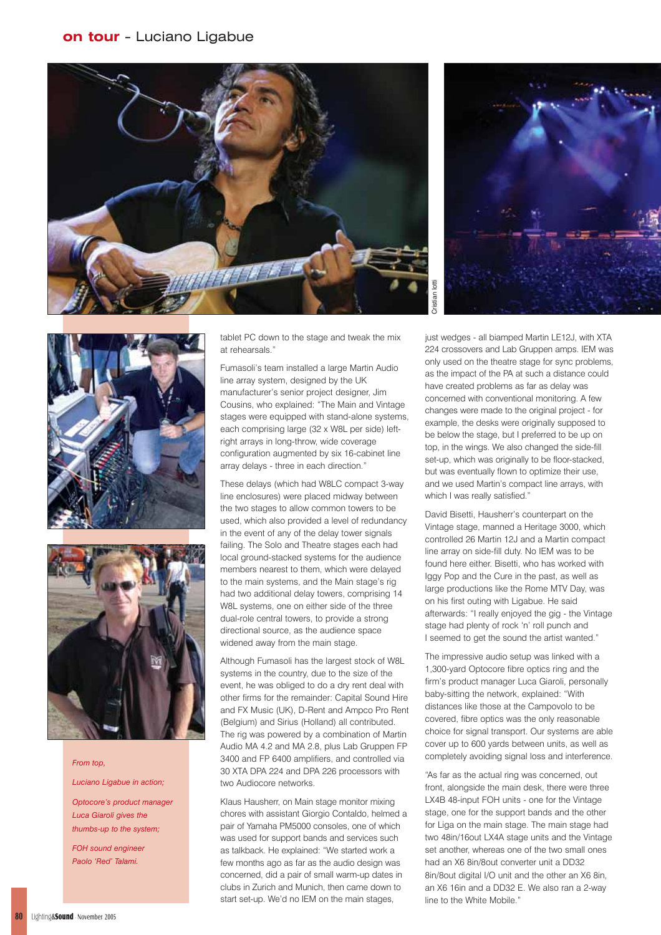







#### *From top,*

*Luciano Ligabue in action; Optocore's product manager Luca Giaroli gives the thumbs-up to the system;*

*FOH sound engineer Paolo 'Red' Talami.*

tablet PC down to the stage and tweak the mix at rehearsals."

Fumasoli's team installed a large Martin Audio line array system, designed by the UK manufacturer's senior project designer, Jim Cousins, who explained: "The Main and Vintage stages were equipped with stand-alone systems, each comprising large (32 x W8L per side) leftright arrays in long-throw, wide coverage configuration augmented by six 16-cabinet line array delays - three in each direction."

These delays (which had W8LC compact 3-way line enclosures) were placed midway between the two stages to allow common towers to be used, which also provided a level of redundancy in the event of any of the delay tower signals failing. The Solo and Theatre stages each had local ground-stacked systems for the audience members nearest to them, which were delayed to the main systems, and the Main stage's rig had two additional delay towers, comprising 14 W8L systems, one on either side of the three dual-role central towers, to provide a strong directional source, as the audience space widened away from the main stage.

Although Fumasoli has the largest stock of W8L systems in the country, due to the size of the event, he was obliged to do a dry rent deal with other firms for the remainder: Capital Sound Hire and FX Music (UK), D-Rent and Ampco Pro Rent (Belgium) and Sirius (Holland) all contributed. The rig was powered by a combination of Martin Audio MA 4.2 and MA 2.8, plus Lab Gruppen FP 3400 and FP 6400 amplifiers, and controlled via 30 XTA DPA 224 and DPA 226 processors with two Audiocore networks.

Klaus Hausherr, on Main stage monitor mixing chores with assistant Giorgio Contaldo, helmed a pair of Yamaha PM5000 consoles, one of which was used for support bands and services such as talkback. He explained: "We started work a few months ago as far as the audio design was concerned, did a pair of small warm-up dates in clubs in Zurich and Munich, then came down to start set-up. We'd no IEM on the main stages,

just wedges - all biamped Martin LE12J, with XTA 224 crossovers and Lab Gruppen amps. IEM was only used on the theatre stage for sync problems, as the impact of the PA at such a distance could have created problems as far as delay was concerned with conventional monitoring. A few changes were made to the original project - for example, the desks were originally supposed to be below the stage, but I preferred to be up on top, in the wings. We also changed the side-fill set-up, which was originally to be floor-stacked, but was eventually flown to optimize their use, and we used Martin's compact line arrays, with which I was really satisfied."

David Bisetti, Hausherr's counterpart on the Vintage stage, manned a Heritage 3000, which controlled 26 Martin 12J and a Martin compact line array on side-fill duty. No IEM was to be found here either. Bisetti, who has worked with Iggy Pop and the Cure in the past, as well as large productions like the Rome MTV Day, was on his first outing with Ligabue. He said afterwards: "I really enjoyed the gig - the Vintage stage had plenty of rock 'n' roll punch and I seemed to get the sound the artist wanted."

The impressive audio setup was linked with a 1,300-yard Optocore fibre optics ring and the firm's product manager Luca Giaroli, personally baby-sitting the network, explained: "With distances like those at the Campovolo to be covered, fibre optics was the only reasonable choice for signal transport. Our systems are able cover up to 600 yards between units, as well as completely avoiding signal loss and interference.

"As far as the actual ring was concerned, out front, alongside the main desk, there were three LX4B 48-input FOH units - one for the Vintage stage, one for the support bands and the other for Liga on the main stage. The main stage had two 48in/16out LX4A stage units and the Vintage set another, whereas one of the two small ones had an X6 8in/8out converter unit a DD32 8in/8out digital I/O unit and the other an X6 8in, an X6 16in and a DD32 E. We also ran a 2-way line to the White Mobile."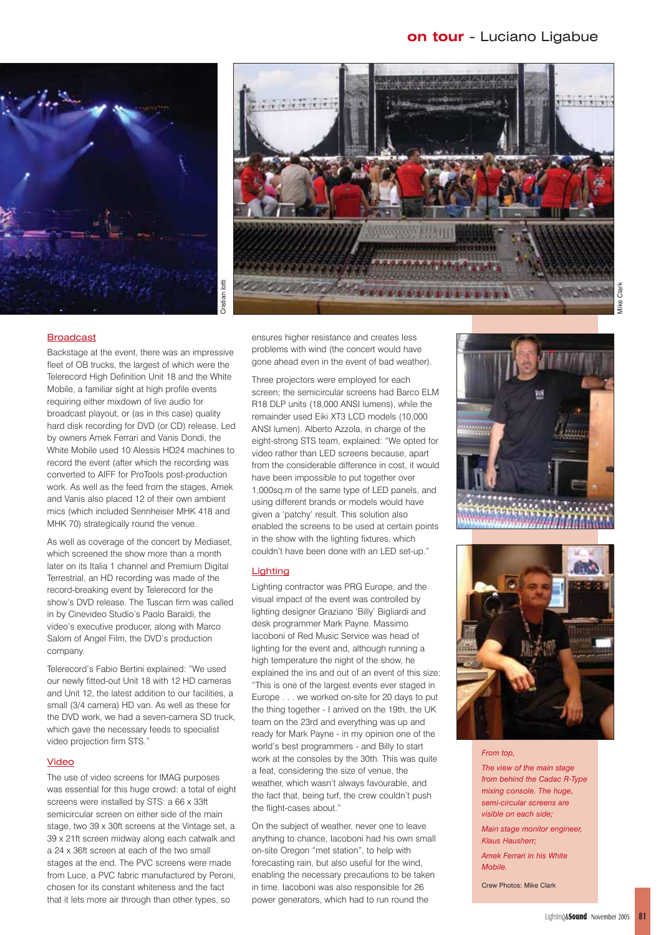



## Broadcast

Backstage at the event, there was an impressive fleet of OB trucks, the largest of which were the Telerecord High Definition Unit 18 and the White Mobile, a familiar sight at high profile events requiring either mixdown of live audio for broadcast playout, or (as in this case) quality hard disk recording for DVD (or CD) release. Led by owners Amek Ferrari and Vanis Dondi, the White Mobile used 10 Alessis HD24 machines to record the event (after which the recording was converted to AIFF for ProTools post-production work. As well as the feed from the stages, Amek and Vanis also placed 12 of their own ambient mics (which included Sennheiser MHK 418 and MHK 70) strategically round the venue.

As well as coverage of the concert by Mediaset, which screened the show more than a month later on its Italia 1 channel and Premium Digital Terrestrial, an HD recording was made of the record-breaking event by Telerecord for the show's DVD release. The Tuscan firm was called in by Cinevideo Studio's Paolo Baraldi, the video's executive producer, along with Marco Salom of Angel Film, the DVD's production company.

Telerecord's Fabio Bertini explained: "We used our newly fitted-out Unit 18 with 12 HD cameras and Unit 12, the latest addition to our facilities, a small (3/4 camera) HD van. As well as these for the DVD work, we had a seven-camera SD truck, which gave the necessary feeds to specialist video projection firm STS."

## Video

The use of video screens for IMAG purposes was essential for this huge crowd: a total of eight screens were installed by STS: a 66 x 33ft semicircular screen on either side of the main stage, two 39 x 30ft screens at the Vintage set, a 39 x 21ft screen midway along each catwalk and a 24 x 36ft screen at each of the two small stages at the end. The PVC screens were made from Luce, a PVC fabric manufactured by Peroni, chosen for its constant whiteness and the fact that it lets more air through than other types, so

ensures higher resistance and creates less problems with wind (the concert would have gone ahead even in the event of bad weather).

Three projectors were employed for each screen; the semicircular screens had Barco ELM R18 DLP units (18,000 ANSI lumens), while the remainder used Eiki XT3 LCD models (10,000 ANSI lumen). Alberto Azzola, in charge of the eight-strong STS team, explained: "We opted for video rather than LED screens because, apart from the considerable difference in cost, it would have been impossible to put together over 1,000sq.m of the same type of LED panels, and using different brands or models would have given a 'patchy' result. This solution also enabled the screens to be used at certain points in the show with the lighting fixtures, which couldn't have been done with an LED set-up."

# **Lighting**

Lighting contractor was PRG Europe, and the visual impact of the event was controlled by lighting designer Graziano 'Billy' Bigliardi and desk programmer Mark Payne. Massimo Iacoboni of Red Music Service was head of lighting for the event and, although running a high temperature the night of the show, he explained the ins and out of an event of this size: "This is one of the largest events ever staged in Europe . . . we worked on-site for 20 days to put the thing together - I arrived on the 19th, the UK team on the 23rd and everything was up and ready for Mark Payne - in my opinion one of the world's best programmers - and Billy to start work at the consoles by the 30th. This was quite a feat, considering the size of venue, the weather, which wasn't always favourable, and the fact that, being turf, the crew couldn't push the flight-cases about."

On the subject of weather, never one to leave anything to chance, Iacoboni had his own small on-site Oregon "met station", to help with forecasting rain, but also useful for the wind, enabling the necessary precautions to be taken in time. Iacoboni was also responsible for 26 power generators, which had to run round the





#### *From top,*

*The view of the main stage from behind the Cadac R-Type mixing console. The huge, semi-circular screens are visible on each side;*

*Main stage monitor engineer, Klaus Hausherr;*

*Amek Ferrari in his White Mobile.*

Crew Photos: Mike Clark